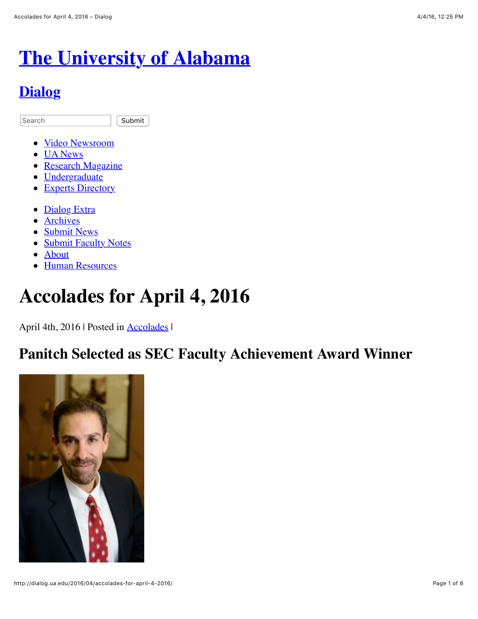# **[The University of Alabama](http://www.ua.edu/)**

### **[Dialog](http://dialog.ua.edu/)**

Search **Submit** 

- [Video Newsroom](http://uanews.ua.edu/video)
- [UA News](http://uanews.ua.edu/)
- [Research Magazine](http://research.ua.edu/)
- [Undergraduate](http://undergraduate.ua.edu/)
- [Experts Directory](http://uanews.ua.edu/experts)
- [Dialog Extra](http://dialog.ua.edu/extra/)
- **[Archives](http://dialog.ua.edu/archives-index/)**
- [Submit News](http://dialog.ua.edu/submit-news/)
- [Submit Faculty Notes](http://dialog.ua.edu/submit-faculty/)
- [About](http://dialog.ua.edu/about/)
- **[Human Resources](http://hr.ua.edu/)**

## **Accolades for April 4, 2016**

April 4th, 2016 | Posted in **Accolades** |

### **Panitch Selected as SEC Faculty Achievement Award Winner**